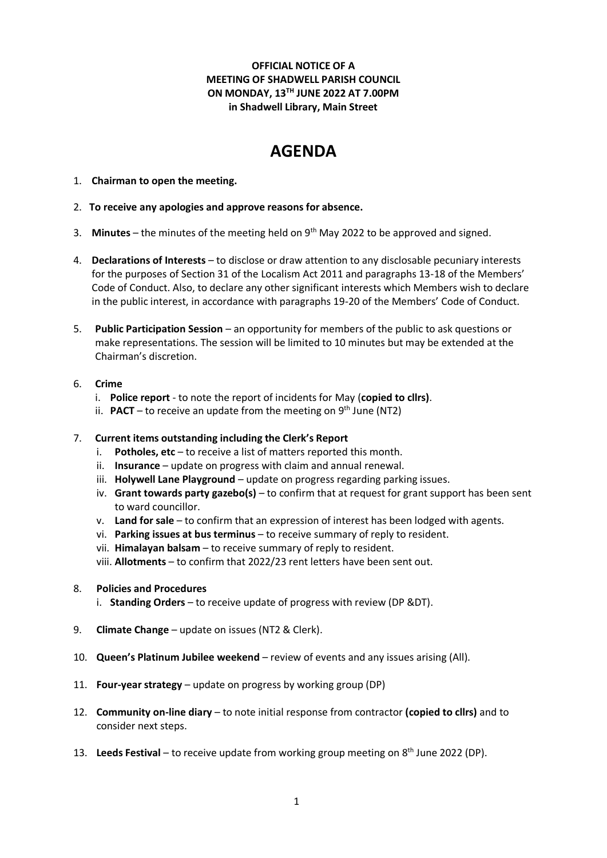# **OFFICIAL NOTICE OF A MEETING OF SHADWELL PARISH COUNCIL ON MONDAY, 13TH JUNE 2022 AT 7.00PM in Shadwell Library, Main Street**

# **AGENDA**

- 1. **Chairman to open the meeting.**
- 2. **To receive any apologies and approve reasons for absence.**
- 3. **Minutes** the minutes of the meeting held on 9th May 2022 to be approved and signed.
- 4. **Declarations of Interests** to disclose or draw attention to any disclosable pecuniary interests for the purposes of Section 31 of the Localism Act 2011 and paragraphs 13-18 of the Members' Code of Conduct. Also, to declare any other significant interests which Members wish to declare in the public interest, in accordance with paragraphs 19-20 of the Members' Code of Conduct.
- 5. **Public Participation Session** an opportunity for members of the public to ask questions or make representations. The session will be limited to 10 minutes but may be extended at the Chairman's discretion.
- 6. **Crime** 
	- i. **Police report** to note the report of incidents for May (**copied to cllrs)**.
	- ii. PACT to receive an update from the meeting on 9<sup>th</sup> June (NT2)
- 7. **Current items outstanding including the Clerk's Report**
	- i. **Potholes, etc** to receive a list of matters reported this month.
	- ii. **Insurance**  update on progress with claim and annual renewal.
	- iii. **Holywell Lane Playground** update on progress regarding parking issues.
	- iv. **Grant towards party gazebo(s)** to confirm that at request for grant support has been sent to ward councillor.
	- v. **Land for sale** to confirm that an expression of interest has been lodged with agents.
	- vi. **Parking issues at bus terminus** to receive summary of reply to resident.
	- vii. **Himalayan balsam** to receive summary of reply to resident.
	- viii. **Allotments**  to confirm that 2022/23 rent letters have been sent out.
- 8. **Policies and Procedures**
	- i. **Standing Orders** to receive update of progress with review (DP &DT).
- 9. **Climate Change** update on issues (NT2 & Clerk).
- 10. **Queen's Platinum Jubilee weekend**  review of events and any issues arising (All).
- 11. **Four-year strategy** update on progress by working group (DP)
- 12. **Community on-line diary** to note initial response from contractor **(copied to cllrs)** and to consider next steps.
- 13. Leeds Festival to receive update from working group meeting on 8<sup>th</sup> June 2022 (DP).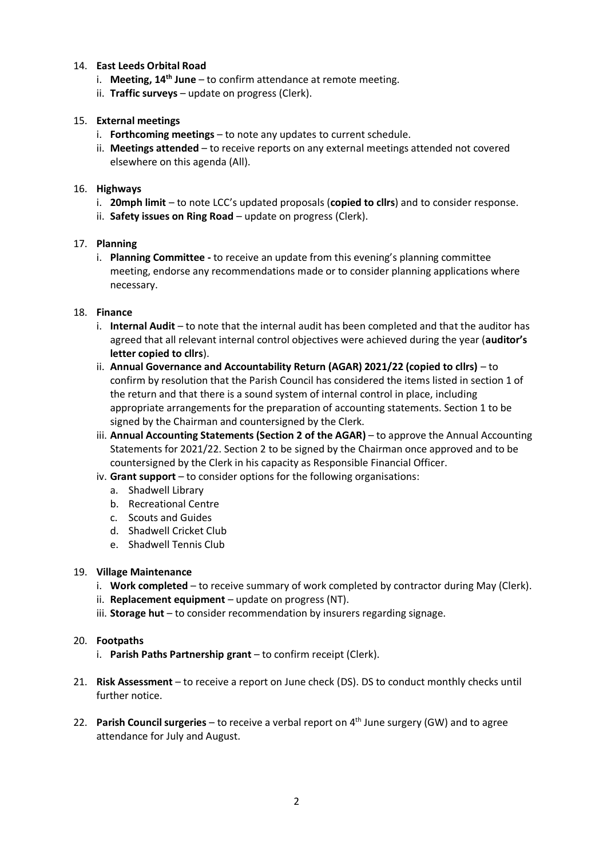# 14. **East Leeds Orbital Road**

- i. **Meeting, 14th June**  to confirm attendance at remote meeting.
- ii. **Traffic surveys** update on progress (Clerk).

## 15. **External meetings**

- i. **Forthcoming meetings** to note any updates to current schedule.
- ii. **Meetings attended** to receive reports on any external meetings attended not covered elsewhere on this agenda (All).

### 16. **Highways**

- i. **20mph limit** to note LCC's updated proposals (**copied to cllrs**) and to consider response.
- ii. **Safety issues on Ring Road** update on progress (Clerk).

#### 17. **Planning**

i. **Planning Committee -** to receive an update from this evening's planning committee meeting, endorse any recommendations made or to consider planning applications where necessary.

## 18. **Finance**

- i. **Internal Audit**  to note that the internal audit has been completed and that the auditor has agreed that all relevant internal control objectives were achieved during the year (**auditor's letter copied to cllrs**).
- ii. **Annual Governance and Accountability Return (AGAR) 2021/22 (copied to cllrs)**  to confirm by resolution that the Parish Council has considered the items listed in section 1 of the return and that there is a sound system of internal control in place, including appropriate arrangements for the preparation of accounting statements. Section 1 to be signed by the Chairman and countersigned by the Clerk.
- iii. **Annual Accounting Statements (Section 2 of the AGAR)** to approve the Annual Accounting Statements for 2021/22. Section 2 to be signed by the Chairman once approved and to be countersigned by the Clerk in his capacity as Responsible Financial Officer.
- iv. **Grant support**  to consider options for the following organisations:
	- a. Shadwell Library
	- b. Recreational Centre
	- c. Scouts and Guides
	- d. Shadwell Cricket Club
	- e. Shadwell Tennis Club

#### 19. **Village Maintenance**

- i. **Work completed** to receive summary of work completed by contractor during May (Clerk).
- ii. **Replacement equipment** update on progress (NT).
- iii. **Storage hut** to consider recommendation by insurers regarding signage.

#### 20. **Footpaths**

- i. **Parish Paths Partnership grant**  to confirm receipt (Clerk).
- 21. **Risk Assessment**  to receive a report on June check (DS). DS to conduct monthly checks until further notice.
- 22. Parish Council surgeries to receive a verbal report on 4<sup>th</sup> June surgery (GW) and to agree attendance for July and August.